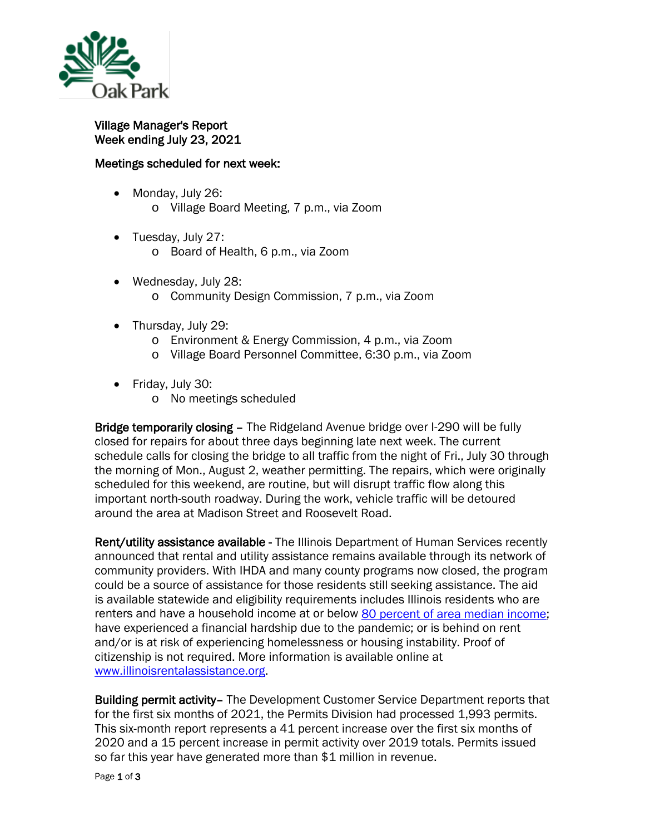

Village Manager's Report Week ending July 23, 2021

## Meetings scheduled for next week:

- Monday, July 26:
	- o Village Board Meeting, 7 p.m., via Zoom
- Tuesday, July 27:
	- o Board of Health, 6 p.m., via Zoom
- Wednesday, July 28: o Community Design Commission, 7 p.m., via Zoom
- Thursday, July 29:
	- o Environment & Energy Commission, 4 p.m., via Zoom
	- o Village Board Personnel Committee, 6:30 p.m., via Zoom
- Friday, July 30:
	- o No meetings scheduled

Bridge temporarily closing – The Ridgeland Avenue bridge over I-290 will be fully closed for repairs for about three days beginning late next week. The current schedule calls for closing the bridge to all traffic from the night of Fri., July 30 through the morning of Mon., August 2, weather permitting. The repairs, which were originally scheduled for this weekend, are routine, but will disrupt traffic flow along this important north-south roadway. During the work, vehicle traffic will be detoured around the area at Madison Street and Roosevelt Road.

Rent/utility assistance available - The Illinois Department of Human Services recently announced that rental and utility assistance remains available through its network of community providers. With IHDA and many county programs now closed, the program could be a source of assistance for those residents still seeking assistance. The aid is available statewide and eligibility requirements includes Illinois residents who are renters and have a household income at or below [80 percent of area median income;](https://www.huduser.gov/portal/datasets/il.html) have experienced a financial hardship due to the pandemic; or is behind on rent and/or is at risk of experiencing homelessness or housing instability. Proof of citizenship is not required. More information is available online at [www.illinoisrentalassistance.org.](http://www.illinoisrentalassistance.org/)

Building permit activity– The Development Customer Service Department reports that for the first six months of 2021, the Permits Division had processed 1,993 permits. This six-month report represents a 41 percent increase over the first six months of 2020 and a 15 percent increase in permit activity over 2019 totals. Permits issued so far this year have generated more than \$1 million in revenue.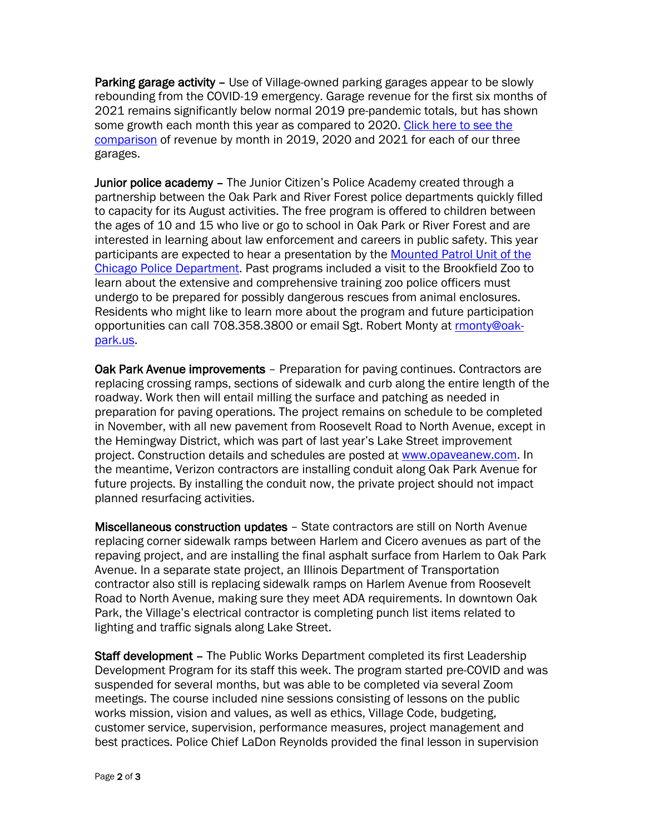Parking garage activity – Use of Village-owned parking garages appear to be slowly rebounding from the COVID-19 emergency. Garage revenue for the first six months of 2021 remains significantly below normal 2019 pre-pandemic totals, but has shown some growth each month this year as compared to 2020. Click here to see the [comparison](https://www.oak-park.us/sites/default/files/456678891/2021-06-30-six-month-parking-garage-revenue-comparison-2019-2020-2021.pdf) of revenue by month in 2019, 2020 and 2021 for each of our three garages.

Junior police academy – The Junior Citizen's Police Academy created through a partnership between the Oak Park and River Forest police departments quickly filled to capacity for its August activities. The free program is offered to children between the ages of 10 and 15 who live or go to school in Oak Park or River Forest and are interested in learning about law enforcement and careers in public safety. This year participants are expected to hear a presentation by the [Mounted Patrol Unit of the](https://home.chicagopolice.org/about/specialized-units/mounted-unit/)  [Chicago Police Department.](https://home.chicagopolice.org/about/specialized-units/mounted-unit/) Past programs included a visit to the Brookfield Zoo to learn about the extensive and comprehensive training zoo police officers must undergo to be prepared for possibly dangerous rescues from animal enclosures. Residents who might like to learn more about the program and future participation opportunities can call 708.358.3800 or email Sgt. Robert Monty at [rmonty@oak](mailto:rmonty@oak-park.us)[park.us.](mailto:rmonty@oak-park.us)

Oak Park Avenue improvements – Preparation for paving continues. Contractors are replacing crossing ramps, sections of sidewalk and curb along the entire length of the roadway. Work then will entail milling the surface and patching as needed in preparation for paving operations. The project remains on schedule to be completed in November, with all new pavement from Roosevelt Road to North Avenue, except in the Hemingway District, which was part of last year's Lake Street improvement project. Construction details and schedules are posted at [www.opaveanew.com.](http://www.opaveanew.com/) In the meantime, Verizon contractors are installing conduit along Oak Park Avenue for future projects. By installing the conduit now, the private project should not impact planned resurfacing activities.

Miscellaneous construction updates – State contractors are still on North Avenue replacing corner sidewalk ramps between Harlem and Cicero avenues as part of the repaving project, and are installing the final asphalt surface from Harlem to Oak Park Avenue. In a separate state project, an Illinois Department of Transportation contractor also still is replacing sidewalk ramps on Harlem Avenue from Roosevelt Road to North Avenue, making sure they meet ADA requirements. In downtown Oak Park, the Village's electrical contractor is completing punch list items related to lighting and traffic signals along Lake Street.

Staff development – The Public Works Department completed its first Leadership Development Program for its staff this week. The program started pre-COVID and was suspended for several months, but was able to be completed via several Zoom meetings. The course included nine sessions consisting of lessons on the public works mission, vision and values, as well as ethics, Village Code, budgeting, customer service, supervision, performance measures, project management and best practices. Police Chief LaDon Reynolds provided the final lesson in supervision